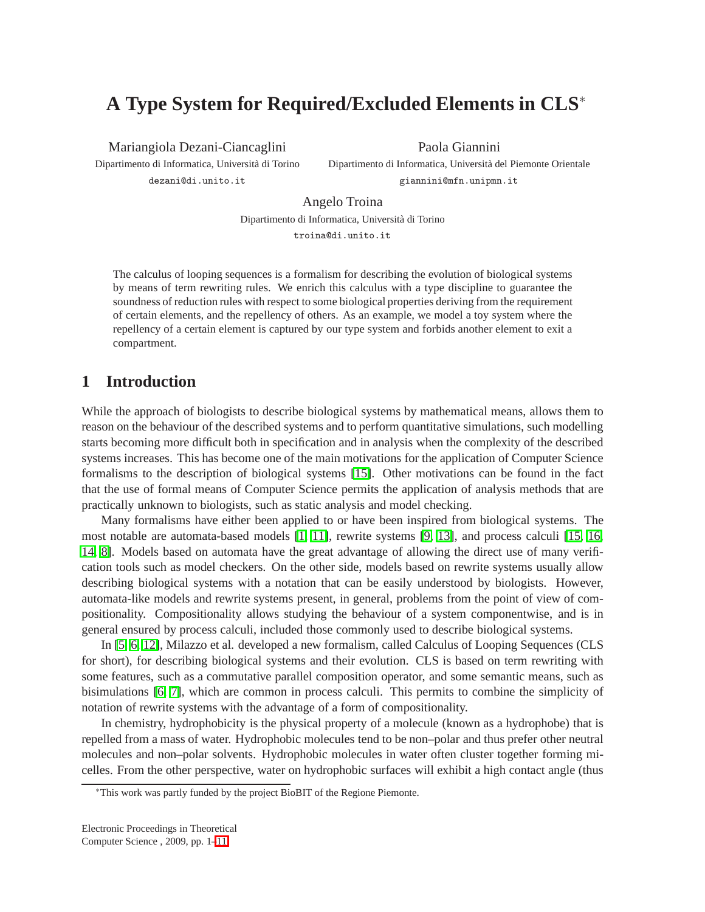# **A Type System for Required/Excluded Elements in CLS**<sup>∗</sup>

Mariangiola Dezani-Ciancaglini

Dipartimento di Informatica, Università di Torino dezani@di.unito.it

Paola Giannini

Dipartimento di Informatica, Università del Piemonte Orientale giannini@mfn.unipmn.it

Angelo Troina

Dipartimento di Informatica, Università di Torino troina@di.unito.it

The calculus of looping sequences is a formalism for describing the evolution of biological systems by means of term rewriting rules. We enrich this calculus with a type discipline to guarantee the soundness of reduction rules with respect to some biological properties deriving from the requirement of certain elements, and the repellency of others. As an example, we model a toy system where the repellency of a certain element is captured by our type system and forbids another element to exit a compartment.

# **1 Introduction**

While the approach of biologists to describe biological systems by mathematical means, allows them to reason on the behaviour of the described systems and to perform quantitative simulations, such modelling starts becoming more difficult both in specification and in analysis when the complexity of the described systems increases. This has become one of the main motivations for the application of Computer Science formalisms to the description of biological systems [\[15\]](#page-10-1). Other motivations can be found in the fact that the use of formal means of Computer Science permits the application of analysis methods that are practically unknown to biologists, such as static analysis and model checking.

Many formalisms have either been applied to or have been inspired from biological systems. The most notable are automata-based models [\[1,](#page-10-2) [11\]](#page-10-3), rewrite systems [\[9,](#page-10-4) [13\]](#page-10-5), and process calculi [\[15,](#page-10-1) [16,](#page-10-6) [14,](#page-10-7) [8\]](#page-10-8). Models based on automata have the great advantage of allowing the direct use of many verification tools such as model checkers. On the other side, models based on rewrite systems usually allow describing biological systems with a notation that can be easily understood by biologists. However, automata-like models and rewrite systems present, in general, problems from the point of view of compositionality. Compositionality allows studying the behaviour of a system componentwise, and is in general ensured by process calculi, included those commonly used to describe biological systems.

In [\[5,](#page-10-9) [6,](#page-10-10) [12\]](#page-10-11), Milazzo et al. developed a new formalism, called Calculus of Looping Sequences (CLS for short), for describing biological systems and their evolution. CLS is based on term rewriting with some features, such as a commutative parallel composition operator, and some semantic means, such as bisimulations [\[6,](#page-10-10) [7\]](#page-10-12), which are common in process calculi. This permits to combine the simplicity of notation of rewrite systems with the advantage of a form of compositionality.

In chemistry, hydrophobicity is the physical property of a molecule (known as a hydrophobe) that is repelled from a mass of water. Hydrophobic molecules tend to be non–polar and thus prefer other neutral molecules and non–polar solvents. Hydrophobic molecules in water often cluster together forming micelles. From the other perspective, water on hydrophobic surfaces will exhibit a high contact angle (thus

<sup>∗</sup>This work was partly funded by the project BioBIT of the Regione Piemonte.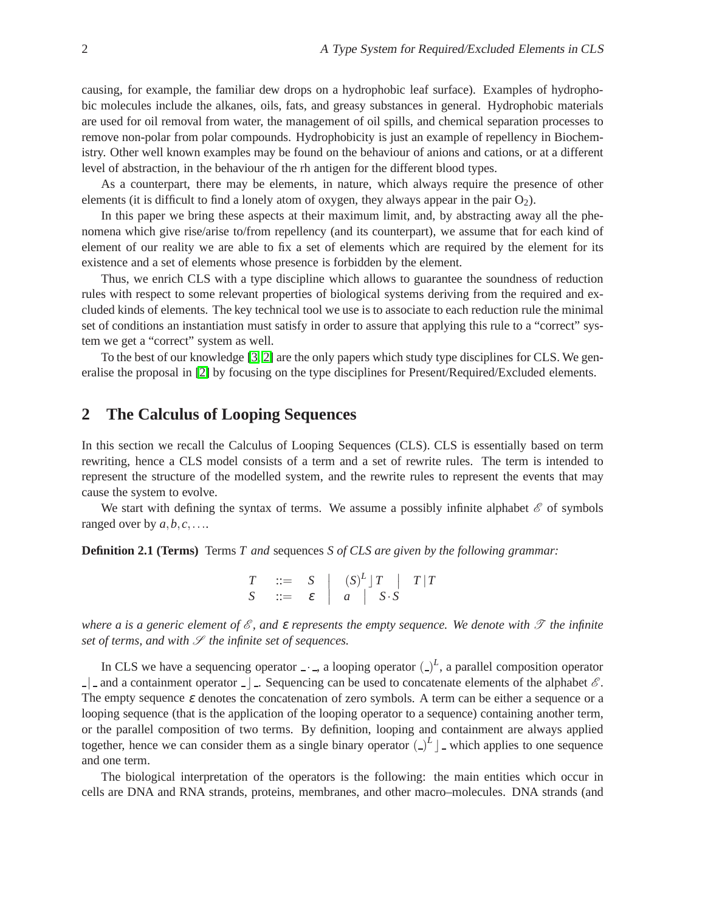causing, for example, the familiar dew drops on a hydrophobic leaf surface). Examples of hydrophobic molecules include the alkanes, oils, fats, and greasy substances in general. Hydrophobic materials are used for oil removal from water, the management of oil spills, and chemical separation processes to remove non-polar from polar compounds. Hydrophobicity is just an example of repellency in Biochemistry. Other well known examples may be found on the behaviour of anions and cations, or at a different level of abstraction, in the behaviour of the rh antigen for the different blood types.

As a counterpart, there may be elements, in nature, which always require the presence of other elements (it is difficult to find a lonely atom of oxygen, they always appear in the pair  $O_2$ ).

In this paper we bring these aspects at their maximum limit, and, by abstracting away all the phenomena which give rise/arise to/from repellency (and its counterpart), we assume that for each kind of element of our reality we are able to fix a set of elements which are required by the element for its existence and a set of elements whose presence is forbidden by the element.

Thus, we enrich CLS with a type discipline which allows to guarantee the soundness of reduction rules with respect to some relevant properties of biological systems deriving from the required and excluded kinds of elements. The key technical tool we use is to associate to each reduction rule the minimal set of conditions an instantiation must satisfy in order to assure that applying this rule to a "correct" system we get a "correct" system as well.

To the best of our knowledge [\[3,](#page-10-13) [2\]](#page-10-14) are the only papers which study type disciplines for CLS. We generalise the proposal in [\[2\]](#page-10-14) by focusing on the type disciplines for Present/Required/Excluded elements.

## **2 The Calculus of Looping Sequences**

In this section we recall the Calculus of Looping Sequences (CLS). CLS is essentially based on term rewriting, hence a CLS model consists of a term and a set of rewrite rules. The term is intended to represent the structure of the modelled system, and the rewrite rules to represent the events that may cause the system to evolve.

We start with defining the syntax of terms. We assume a possibly infinite alphabet  $\mathscr E$  of symbols ranged over by  $a, b, c, \ldots$ .

**Definition 2.1 (Terms)** Terms *T and* sequences *S of CLS are given by the following grammar:*

|  | $T$ ::= $S$ $(S)^L$ $T$ $T$ $T$ |                                         |  |
|--|---------------------------------|-----------------------------------------|--|
|  |                                 | $S$ ::= $\varepsilon$   a   $S \cdot S$ |  |

*where a is a generic element of*  $\mathscr E$ , and  $\varepsilon$  *represents the empty sequence. We denote with*  $\mathscr T$  *the infinite set of terms, and with*  $S$  *the infinite set of sequences.* 

In CLS we have a sequencing operator  $\lrcorner$   $\lrcorner$ , a looping operator  $\lrcorner$ <sup>L</sup>, a parallel composition operator  $\Box$  and a containment operator  $\Box$ . Sequencing can be used to concatenate elements of the alphabet  $\mathscr E$ . The empty sequence  $\varepsilon$  denotes the concatenation of zero symbols. A term can be either a sequence or a looping sequence (that is the application of the looping operator to a sequence) containing another term, or the parallel composition of two terms. By definition, looping and containment are always applied together, hence we can consider them as a single binary operator  $(\_)^L$  | \_ which applies to one sequence and one term.

The biological interpretation of the operators is the following: the main entities which occur in cells are DNA and RNA strands, proteins, membranes, and other macro–molecules. DNA strands (and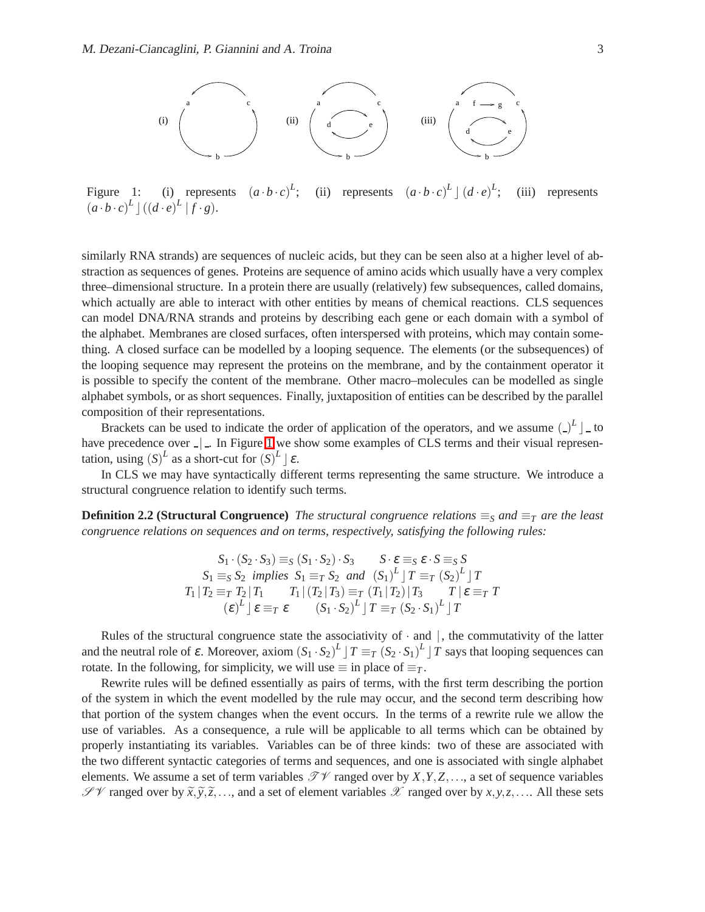

<span id="page-2-0"></span>Figure 1: (i) represents  $(a \cdot b \cdot c)^L$ ; (ii) represents  $(a \cdot b \cdot c)^L \cdot (d \cdot e)^L$ (iii) represents  $(a \cdot b \cdot c)^L$   $((d \cdot e)^L$   $|f \cdot g)$ .

similarly RNA strands) are sequences of nucleic acids, but they can be seen also at a higher level of abstraction as sequences of genes. Proteins are sequence of amino acids which usually have a very complex three–dimensional structure. In a protein there are usually (relatively) few subsequences, called domains, which actually are able to interact with other entities by means of chemical reactions. CLS sequences can model DNA/RNA strands and proteins by describing each gene or each domain with a symbol of the alphabet. Membranes are closed surfaces, often interspersed with proteins, which may contain something. A closed surface can be modelled by a looping sequence. The elements (or the subsequences) of the looping sequence may represent the proteins on the membrane, and by the containment operator it is possible to specify the content of the membrane. Other macro–molecules can be modelled as single alphabet symbols, or as short sequences. Finally, juxtaposition of entities can be described by the parallel composition of their representations.

Brackets can be used to indicate the order of application of the operators, and we assume  $\left(\frac{1}{n}\right)^L$  to have precedence over  $\Box$ . In Figure [1](#page-2-0) we show some examples of CLS terms and their visual representation, using  $(S)^L$  as a short-cut for  $(S)^L \rvert \varepsilon$ .

In CLS we may have syntactically different terms representing the same structure. We introduce a structural congruence relation to identify such terms.

**Definition 2.2 (Structural Congruence)** *The structural congruence relations*  $\equiv_S$  *and*  $\equiv_T$  *are the least congruence relations on sequences and on terms, respectively, satisfying the following rules:*

$$
S_1 \cdot (S_2 \cdot S_3) \equiv_S (S_1 \cdot S_2) \cdot S_3 \qquad S \cdot \varepsilon \equiv_S \varepsilon \cdot S \equiv_S S
$$
  
\n
$$
S_1 \equiv_S S_2 \text{ implies } S_1 \equiv_T S_2 \text{ and } (S_1)^L \mid T \equiv_T (S_2)^L \mid T
$$
  
\n
$$
T_1 \mid T_2 \equiv_T T_2 \mid T_1 \qquad T_1 \mid (T_2 \mid T_3) \equiv_T (T_1 \mid T_2) \mid T_3 \qquad T \mid \varepsilon \equiv_T T
$$
  
\n
$$
(\varepsilon)^L \mid \varepsilon \equiv_T \varepsilon \qquad (S_1 \cdot S_2)^L \mid T \equiv_T (S_2 \cdot S_1)^L \mid T
$$

Rules of the structural congruence state the associativity of  $\cdot$  and  $\vert$ , the commutativity of the latter and the neutral role of  $\varepsilon$ . Moreover, axiom  $(S_1 \cdot S_2)^L \mid T \equiv_T (S_2 \cdot S_1)^L \mid T$  says that looping sequences can rotate. In the following, for simplicity, we will use  $\equiv$  in place of  $\equiv_T$ .

Rewrite rules will be defined essentially as pairs of terms, with the first term describing the portion of the system in which the event modelled by the rule may occur, and the second term describing how that portion of the system changes when the event occurs. In the terms of a rewrite rule we allow the use of variables. As a consequence, a rule will be applicable to all terms which can be obtained by properly instantiating its variables. Variables can be of three kinds: two of these are associated with the two different syntactic categories of terms and sequences, and one is associated with single alphabet elements. We assume a set of term variables  $\mathcal{TV}$  ranged over by  $X, Y, Z, \ldots$ , a set of sequence variables  $\mathscr{S}\mathscr{V}$  ranged over by  $\widetilde{x}, \widetilde{y}, \widetilde{z}, \ldots$ , and a set of element variables  $\mathscr{X}$  ranged over by  $x, y, z, \ldots$ . All these sets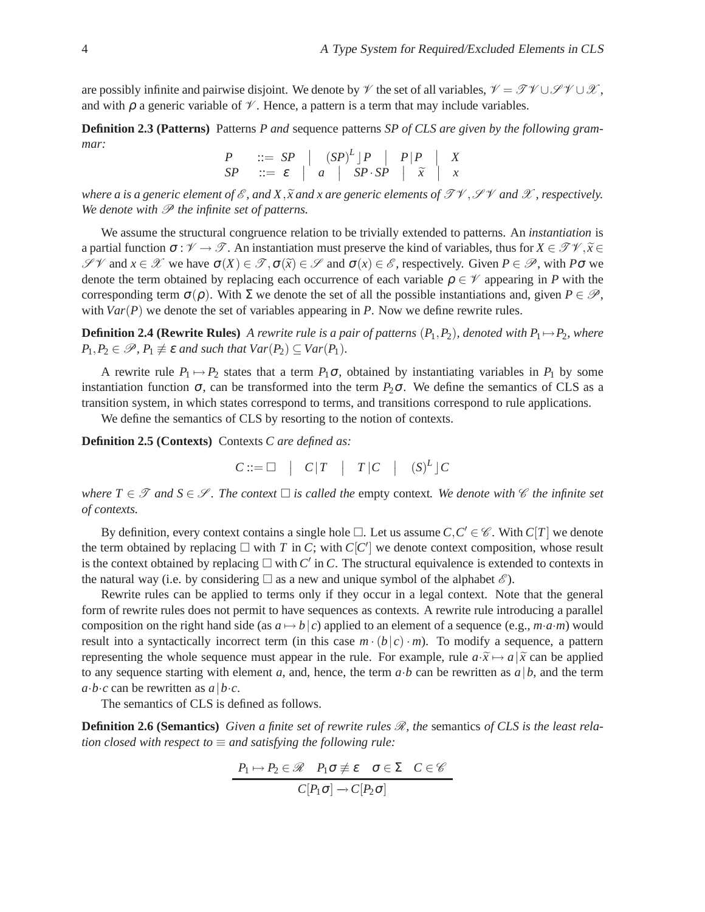are possibly infinite and pairwise disjoint. We denote by  $\mathcal V$  the set of all variables,  $\mathcal V = \mathcal{TV} \cup \mathcal{PV} \cup \mathcal{X}$ , and with  $\rho$  a generic variable of  $\mathcal V$ . Hence, a pattern is a term that may include variables.

**Definition 2.3 (Patterns)** Patterns *P and* sequence patterns *SP of CLS are given by the following grammar:*

$$
\begin{array}{ccc}\nP & ::= & SP & | & (SP)^L \mid P & | & P \mid P \\
SP & ::= & \varepsilon & | & a & | & SP \cdot SP & | & \tilde{x} \\
\end{array}
$$

*where a is a generic element of*  $\mathscr{E}$ *, and X,*  $\widetilde{x}$  *and x are generic elements of*  $\mathscr{TV}$ *,*  $\mathscr{PV}$  *and X, respectively. We denote with*  $\mathcal P$  *the infinite set of patterns.* 

We assume the structural congruence relation to be trivially extended to patterns. An *instantiation* is a partial function  $\sigma : \mathcal{V} \to \mathcal{F}$ . An instantiation must preserve the kind of variables, thus for  $X \in \mathcal{TV}, \tilde{x} \in \mathcal{F}$  $\mathscr{S}$   $\mathscr{V}$  and  $x \in \mathscr{X}$  we have  $\sigma(X) \in \mathscr{T}, \sigma(\tilde{x}) \in \mathscr{S}$  and  $\sigma(x) \in \mathscr{E}$ , respectively. Given  $P \in \mathscr{P}$ , with  $P\sigma$  we denote the term obtained by replacing each occurrence of each variable  $\rho \in \mathcal{V}$  appearing in *P* with the corresponding term  $\sigma(\rho)$ . With  $\Sigma$  we denote the set of all the possible instantiations and, given  $P \in \mathcal{P}$ , with *Var*(*P*) we denote the set of variables appearing in *P*. Now we define rewrite rules.

**Definition 2.4 (Rewrite Rules)** *A rewrite rule is a pair of patterns*  $(P_1, P_2)$ *, denoted with*  $P_1 \rightarrow P_2$ *, where*  $P_1, P_2 \in \mathcal{P}, P_1 \not\equiv \varepsilon$  *and such that*  $Var(P_2) \subseteq Var(P_1)$ *.* 

A rewrite rule  $P_1 \mapsto P_2$  states that a term  $P_1 \sigma$ , obtained by instantiating variables in  $P_1$  by some instantiation function  $\sigma$ , can be transformed into the term  $P_2\sigma$ . We define the semantics of CLS as a transition system, in which states correspond to terms, and transitions correspond to rule applications.

We define the semantics of CLS by resorting to the notion of contexts.

**Definition 2.5 (Contexts)** Contexts *C are defined as:*

 $C ::= \Box$  |  $C|T$  |  $T|C$  |  $(S)^L$ ]  $C$ 

*where*  $T \in \mathcal{T}$  *and*  $S \in \mathcal{S}$ *. The context*  $\Box$  *is called the empty context. We denote with*  $\mathcal{C}$  *the infinite set of contexts.*

By definition, every context contains a single hole  $\Box$ . Let us assume  $C, C' \in \mathscr{C}$ . With  $C[T]$  we denote the term obtained by replacing  $\Box$  with *T* in *C*; with *C*[*C*<sup>'</sup>] we denote context composition, whose result is the context obtained by replacing  $\Box$  with  $C'$  in  $C$ . The structural equivalence is extended to contexts in the natural way (i.e. by considering  $\Box$  as a new and unique symbol of the alphabet  $\mathscr{E}$ ).

Rewrite rules can be applied to terms only if they occur in a legal context. Note that the general form of rewrite rules does not permit to have sequences as contexts. A rewrite rule introducing a parallel composition on the right hand side (as  $a \mapsto b/c$ ) applied to an element of a sequence (e.g.,  $m \cdot a \cdot m$ ) would result into a syntactically incorrect term (in this case  $m \cdot (b|c) \cdot m$ ). To modify a sequence, a pattern representing the whole sequence must appear in the rule. For example, rule  $a \cdot \tilde{x} \mapsto a | \tilde{x}$  can be applied to any sequence starting with element *a*, and, hence, the term  $a \cdot b$  can be rewritten as  $a \mid b$ , and the term  $a \cdot b \cdot c$  can be rewritten as  $a \mid b \cdot c$ .

The semantics of CLS is defined as follows.

**Definition 2.6 (Semantics)** *Given a finite set of rewrite rules*  $\mathcal{R}$ *, the* semantics *of CLS* is the least rela*tion closed with respect to*  $\equiv$  *and satisfying the following rule:* 

$$
\frac{P_1 \mapsto P_2 \in \mathcal{R} \quad P_1 \sigma \not\equiv \varepsilon \quad \sigma \in \Sigma \quad C \in \mathcal{C}}{C[P_1 \sigma] \rightarrow C[P_2 \sigma]}
$$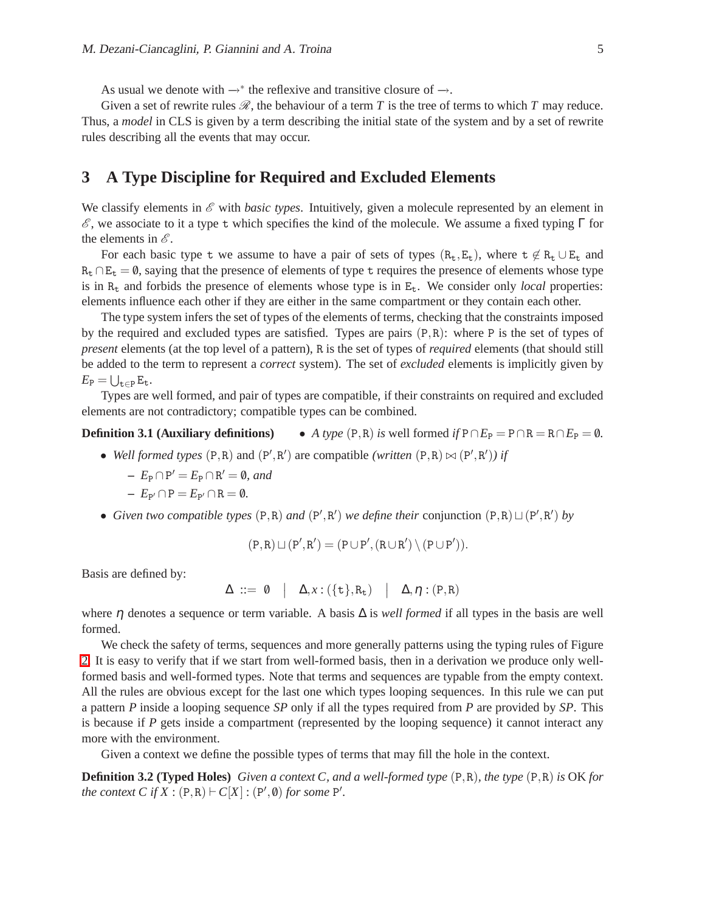As usual we denote with  $\rightarrow^*$  the reflexive and transitive closure of  $\rightarrow$ .

Given a set of rewrite rules  $\mathscr R$ , the behaviour of a term *T* is the tree of terms to which *T* may reduce. Thus, a *model* in CLS is given by a term describing the initial state of the system and by a set of rewrite rules describing all the events that may occur.

# **3 A Type Discipline for Required and Excluded Elements**

We classify elements in  $\mathscr E$  with *basic types*. Intuitively, given a molecule represented by an element in  $\mathscr E$ , we associate to it a type t which specifies the kind of the molecule. We assume a fixed typing  $\Gamma$  for the elements in  $\mathscr{E}$ .

For each basic type t we assume to have a pair of sets of types  $(R_t, E_t)$ , where  $t \notin R_t \cup E_t$  and  $R_t \cap E_t = \emptyset$ , saying that the presence of elements of type t requires the presence of elements whose type is in  $R_t$  and forbids the presence of elements whose type is in  $E_t$ . We consider only *local* properties: elements influence each other if they are either in the same compartment or they contain each other.

The type system infers the set of types of the elements of terms, checking that the constraints imposed by the required and excluded types are satisfied. Types are pairs  $(P, R)$ : where P is the set of types of *present* elements (at the top level of a pattern), R is the set of types of *required* elements (that should still be added to the term to represent a *correct* system). The set of *excluded* elements is implicitly given by  $E_P = \bigcup_{\mathtt{t} \in P} E_{\mathtt{t}}.$ 

Types are well formed, and pair of types are compatible, if their constraints on required and excluded elements are not contradictory; compatible types can be combined.

#### **Definition 3.1 (Auxiliary definitions)** • *A type*  $(P, R)$  *is* well formed *if*  $P \cap E_P = P \cap R = R \cap E_P = \emptyset$ *.*

- *Well formed types*  $(P, R)$  and  $(P', R')$  are compatible *(written*  $(P, R) \bowtie (P', R')$ *) if* 
	- $-F_P \cap P' = E_P \cap R' = \emptyset$ , and
	- $E_{P'} \cap P = E_{P'} \cap R = \emptyset.$
- *Given two compatible types*  $(P, R)$  *and*  $(P', R')$  *we define their* conjunction  $(P, R) \sqcup (P', R')$  *by*

$$
(P,R)\sqcup(P',R')=(P\cup P',(R\cup R')\setminus (P\cup P')).
$$

Basis are defined by:

$$
\Delta \ ::= \ 0 \quad | \quad \Delta, x: (\{\mathtt{t}\}, \mathtt{R}_{\mathtt{t}}) \quad | \quad \Delta, \eta: (\mathtt{P}, \mathtt{R})
$$

where  $\eta$  denotes a sequence or term variable. A basis  $\Delta$  is *well formed* if all types in the basis are well formed.

We check the safety of terms, sequences and more generally patterns using the typing rules of Figure [2.](#page-5-0) It is easy to verify that if we start from well-formed basis, then in a derivation we produce only wellformed basis and well-formed types. Note that terms and sequences are typable from the empty context. All the rules are obvious except for the last one which types looping sequences. In this rule we can put a pattern *P* inside a looping sequence *SP* only if all the types required from *P* are provided by *SP*. This is because if  $P$  gets inside a compartment (represented by the looping sequence) it cannot interact any more with the environment.

Given a context we define the possible types of terms that may fill the hole in the context.

**Definition 3.2 (Typed Holes)** *Given a context C, and a well-formed type* (P,R)*, the type* (P,R) *is* OK *for the context*  $C$  *if*  $X : (P, R) \vdash C[X] : (P', \emptyset)$  *for some*  $P'.$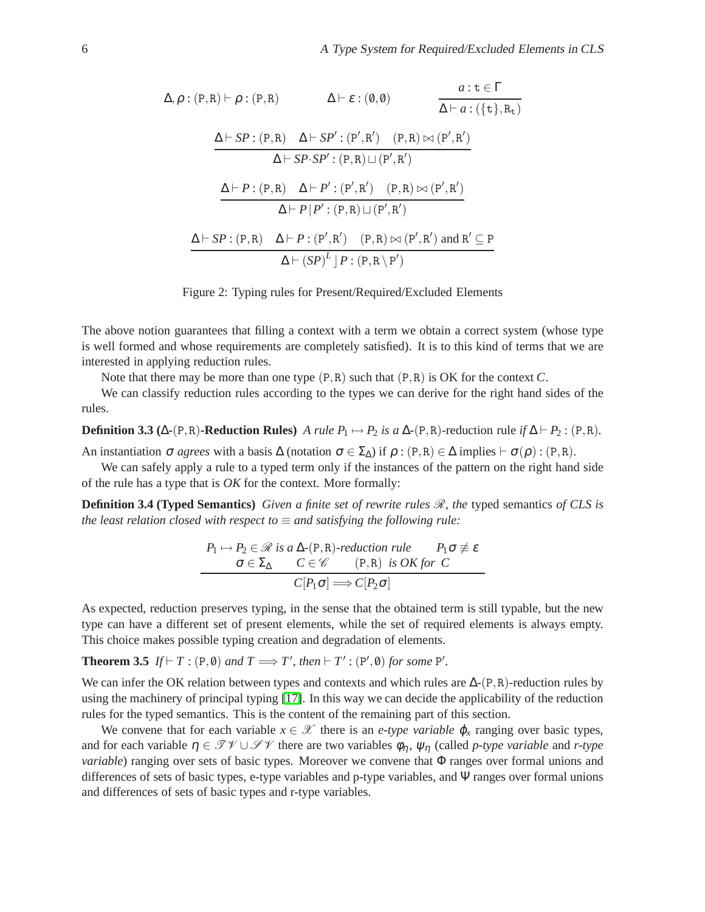$$
\Delta, \rho : (P, R) \vdash \rho : (P, R) \qquad \Delta \vdash \varepsilon : (\emptyset, \emptyset) \qquad \frac{a : t \in \Gamma}{\Delta \vdash a : (\{t\}, R_t)}
$$
\n
$$
\frac{\Delta \vdash SP : (P, R) \quad \Delta \vdash SP': (P', R') \quad (P, R) \bowtie (P', R')}{\Delta \vdash SP \cdot SP': (P, R) \sqcup (P', R')}
$$
\n
$$
\frac{\Delta \vdash P : (P, R) \quad \Delta \vdash P' : (P', R') \quad (P, R) \bowtie (P', R')}{\Delta \vdash P \mid P' : (P, R) \sqcup (P', R')}
$$
\n
$$
\frac{\Delta \vdash SP : (P, R) \quad \Delta \vdash P : (P', R') \quad (P, R) \bowtie (P', R') \quad \Delta \vdash SP : (P, R) \quad \Delta \vdash (SP)^L \mid P : (P, R \setminus P')}{\Delta \vdash (SP)^L \mid P : (P, R \setminus P')}
$$

<span id="page-5-0"></span>Figure 2: Typing rules for Present/Required/Excluded Elements

The above notion guarantees that filling a context with a term we obtain a correct system (whose type is well formed and whose requirements are completely satisfied). It is to this kind of terms that we are interested in applying reduction rules.

Note that there may be more than one type (P,R) such that (P,R) is OK for the context *C*.

We can classify reduction rules according to the types we can derive for the right hand sides of the rules.

**Definition 3.3** ( $\Delta$ **-**(P,R)**-Reduction Rules)** *A rule P*<sub>1</sub>  $\mapsto$  *P*<sub>2</sub> *is a*  $\Delta$ -(P,R)-reduction rule *if*  $\Delta$   $\vdash$  *P*<sub>2</sub> : (P,R)*.* 

An instantiation  $\sigma$  *agrees* with a basis  $\Delta$  (notation  $\sigma \in \Sigma_{\Delta}$ ) if  $\rho : (P, R) \in \Delta$  implies  $\vdash \sigma(\rho) : (P, R)$ .

We can safely apply a rule to a typed term only if the instances of the pattern on the right hand side of the rule has a type that is *OK* for the context. More formally:

**Definition 3.4 (Typed Semantics)** *Given a finite set of rewrite rules*  $\mathcal{R}$ *, the* typed semantics *of CLS* is *the least relation closed with respect to*  $\equiv$  *and satisfying the following rule:* 

<span id="page-5-1"></span>
$$
P_1 \mapsto P_2 \in \mathcal{R} \text{ is a } \Delta \text{-}(P,R)\text{-reduction rule} \qquad P_1 \sigma \not\equiv \varepsilon
$$
  

$$
\sigma \in \Sigma_{\Delta} \qquad C \in \mathcal{C} \qquad (P,R) \text{ is OK for } C
$$
  

$$
C[P_1 \sigma] \Longrightarrow C[P_2 \sigma]
$$

As expected, reduction preserves typing, in the sense that the obtained term is still typable, but the new type can have a different set of present elements, while the set of required elements is always empty. This choice makes possible typing creation and degradation of elements.

**Theorem 3.5** *If*  $\vdash T : (P, \emptyset)$  *and*  $T \Longrightarrow T'$ *, then*  $\vdash T' : (P', \emptyset)$  *for some*  $P'$ *.* 

We can infer the OK relation between types and contexts and which rules are  $\Delta$ -(P,R)-reduction rules by using the machinery of principal typing [\[17\]](#page-10-15). In this way we can decide the applicability of the reduction rules for the typed semantics. This is the content of the remaining part of this section.

We convene that for each variable  $x \in \mathcal{X}$  there is an *e-type variable*  $\varphi_x$  ranging over basic types, and for each variable  $\eta \in \mathcal{TV} \cup \mathcal{PV}$  there are two variables  $\phi_{\eta}$ ,  $\psi_{\eta}$  (called *p-type variable* and *r-type variable*) ranging over sets of basic types. Moreover we convene that Φ ranges over formal unions and differences of sets of basic types, e-type variables and p-type variables, and Ψ ranges over formal unions and differences of sets of basic types and r-type variables.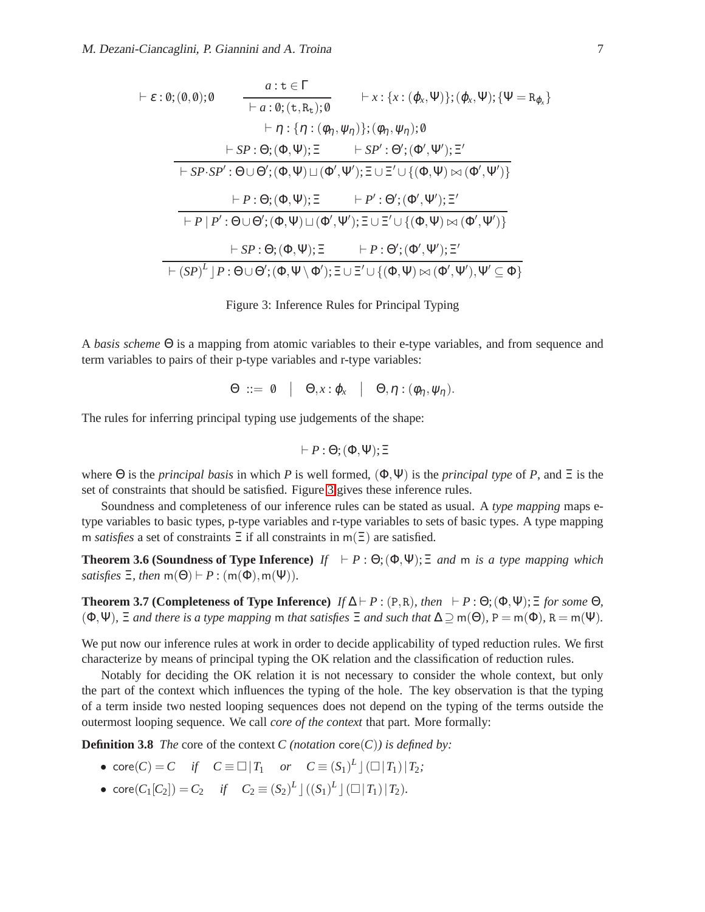$$
\vdash \varepsilon : \theta; (\theta, \theta); \theta \qquad \frac{a : t \in \Gamma}{\vdash a : \theta; (t, R_t); \theta} \qquad \vdash x : \{x : (\varphi_x, \Psi)\}; (\varphi_x, \Psi); \{\Psi = R_{\varphi_x}\}\n\n\vdash \eta : \{\eta : (\varphi_\eta, \psi_\eta)\}; (\varphi_\eta, \psi_\eta); \theta\n\n\vdash SP : \Theta; (\Phi, \Psi); \Xi \qquad \vdash SP' : \Theta'; (\Phi', \Psi'); \Xi'\n\n\vdash SP \cdot SP' : \Theta \cup \Theta'; (\Phi, \Psi) \sqcup (\Phi', \Psi'); \Xi \cup \Xi' \cup \{(\Phi, \Psi) \bowtie (\Phi', \Psi')\}\n\n\vdash P : \Theta; (\Phi, \Psi); \Xi \qquad \vdash P' : \Theta'; (\Phi', \Psi'); \Xi'\n\n\vdash P | P' : \Theta \cup \Theta'; (\Phi, \Psi) \sqcup (\Phi', \Psi'); \Xi \cup \Xi' \cup \{(\Phi, \Psi) \bowtie (\Phi', \Psi')\}\n\n\vdash SP : \Theta; (\Phi, \Psi); \Xi \qquad \vdash P : \Theta'; (\Phi', \Psi'); \Xi'\n\n\vdash (SP)^L | P : \Theta \cup \Theta'; (\Phi, \Psi \setminus \Phi'); \Xi \cup \Xi' \cup \{(\Phi, \Psi) \bowtie (\Phi', \Psi'), \Psi' \subseteq \Phi\}
$$

<span id="page-6-0"></span>

A *basis scheme* Θ is a mapping from atomic variables to their e-type variables, and from sequence and term variables to pairs of their p-type variables and r-type variables:

$$
\Theta \ ::= \ \emptyset \quad | \quad \Theta, x : \varphi_x \quad | \quad \Theta, \eta : (\phi_{\eta}, \psi_{\eta}).
$$

The rules for inferring principal typing use judgements of the shape:

$$
\vdash P : \Theta; (\Phi, \Psi); \Xi
$$

where  $\Theta$  is the *principal basis* in which *P* is well formed,  $(\Phi, \Psi)$  is the *principal type* of *P*, and  $\Xi$  is the set of constraints that should be satisfied. Figure [3](#page-6-0) gives these inference rules.

Soundness and completeness of our inference rules can be stated as usual. A *type mapping* maps etype variables to basic types, p-type variables and r-type variables to sets of basic types. A type mapping m *satisfies* a set of constraints  $\Xi$  if all constraints in m( $\Xi$ ) are satisfied.

**Theorem 3.6 (Soundness of Type Inference)** *If*  $\vdash P : \Theta$ ;  $(\Phi, \Psi)$ ;  $\Xi$  *and* m *is a type mapping which satisfies*  $\Xi$ *, then*  $m(\Theta) \vdash P : (m(\Phi), m(\Psi))$ *.* 

**Theorem 3.7 (Completeness of Type Inference)** *If*  $\Delta \vdash P : (P, R)$ *, then*  $\vdash P : \Theta$ ;  $(\Phi, \Psi)$ ;  $\Xi$  *for some*  $\Theta$ *,*  $(\Phi, \Psi)$ *,*  $\Xi$  *and there is a type mapping* m *that satisfies*  $\Xi$  *and such that*  $\Delta \supseteq m(\Theta)$ *,*  $P = m(\Phi)$ *,*  $R = m(\Psi)$ *.* 

We put now our inference rules at work in order to decide applicability of typed reduction rules. We first characterize by means of principal typing the OK relation and the classification of reduction rules.

Notably for deciding the OK relation it is not necessary to consider the whole context, but only the part of the context which influences the typing of the hole. The key observation is that the typing of a term inside two nested looping sequences does not depend on the typing of the terms outside the outermost looping sequence. We call *core of the context* that part. More formally:

**Definition 3.8** *The* core of the context *C* (notation core(*C*)) is defined by:

- $\operatorname{core}(C) = C$  *if*  $C \equiv \Box |T_1$  *or*  $C \equiv (S_1)^L | (\Box |T_1) | T_2;$
- $\text{core}(C_1[C_2]) = C_2$  *if*  $C_2 \equiv (S_2)^L \, \rfloor \, ((S_1)^L \, \rfloor \, (\square \, | T_1) \, | T_2)$ *.*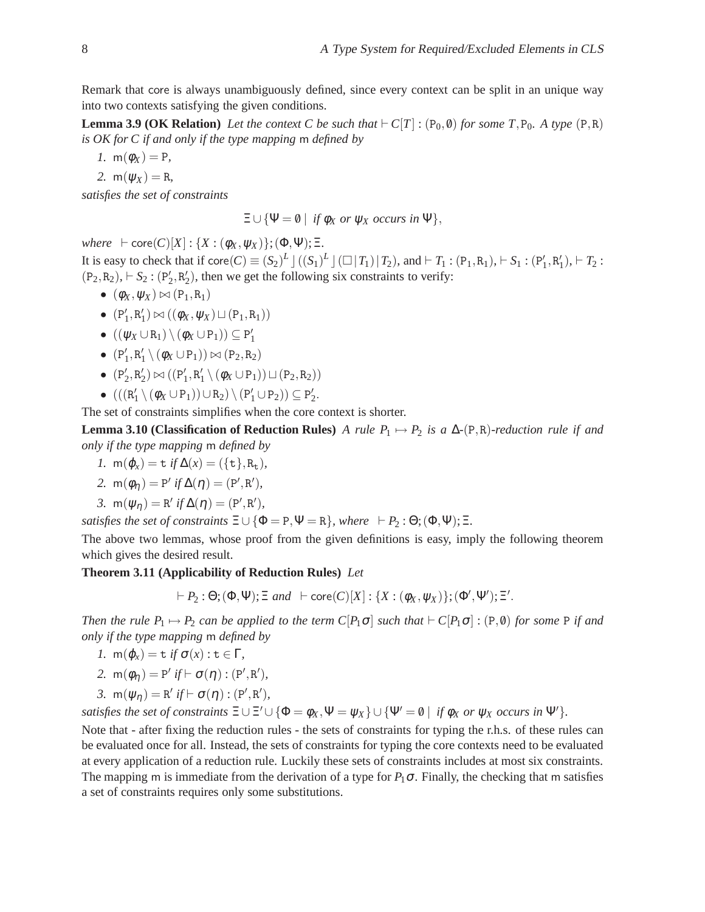Remark that core is always unambiguously defined, since every context can be split in an unique way into two contexts satisfying the given conditions.

**Lemma 3.9 (OK Relation)** *Let the context C be such that*  $\vdash C[T]$  : (P<sub>0</sub>, 0) *for some T*, P<sub>0</sub>*. A type* (P,R) *is OK for C if and only if the type mapping* m *defined by*

*1.*  $m(\phi_X) = P$ ,

*2.*  $m(\psi_X) = R$ ,

*satisfies the set of constraints*

 $\Xi \cup {\Psi = \emptyset} \mid \text{if } \phi_X \text{ or } \psi_X \text{ occurs in } \Psi$ ,

 $where \vdash core(C)[X] : \{X : (\phi_X, \psi_X)\};(\Phi, \Psi); \Xi.$ 

It is easy to check that if  $\text{core}(C) \equiv (S_2)^L \, \rfloor \, \left( (S_1)^L \, \rfloor \, \left( \square \, | \, T_1 \right) \, | \, T_2 \right)$ , and  $\vdash T_1 : (P_1, R_1), \vdash S_1 : (P_1', R_1'), \vdash T_2 :$  $(P_2, R_2)$ ,  $\vdash S_2 : (P'_2, R'_2)$ , then we get the following six constraints to verify:

- $\bullet$   $(\phi_X, \psi_X) \bowtie (\mathsf{P}_1, \mathsf{R}_1)$
- $(P'_1, R'_1) \bowtie ((\phi_X, \psi_X) \sqcup (P_1, R_1))$
- $\bullet$  (( $\psi_X \cup R_1$ ) \ ( $\phi_X \cup P_1$ )) ⊆ P'<sub>1</sub>
- $\bullet$   $(P'_1, R'_1 \setminus (\phi_X \cup P_1)) \bowtie (P_2, R_2)$
- **•**  $(P'_2, R'_2) \bowtie ((P'_1, R'_1 \setminus (\phi_X \cup P_1)) \sqcup (P_2, R_2))$
- $(((R'_1 \setminus (\phi_X \cup P_1)) \cup R_2) \setminus (P'_1 \cup P_2)) \subseteq P'_2$ .

The set of constraints simplifies when the core context is shorter.

**Lemma 3.10 (Classification of Reduction Rules)** *A rule P*<sub>1</sub>  $\mapsto$  *P*<sub>2</sub> *is a*  $\Delta$ -(P,R)*-reduction rule if and only if the type mapping* m *defined by*

$$
I. \, m(\varphi_x) = t \text{ if } \Delta(x) = (\{t\}, R_t),
$$

2. 
$$
m(\phi_{\eta}) = P' \text{ if } \Delta(\eta) = (P', R'),
$$

3. 
$$
m(\psi_{\eta}) = R' \text{ if } \Delta(\eta) = (P', R'),
$$

*satisfies the set of constraints*  $\Xi \cup {\Phi = P, \Psi = R}$ *, where*  $\vdash P_2 : \Theta; (\Phi, \Psi); \Xi$ *.* 

The above two lemmas, whose proof from the given definitions is easy, imply the following theorem which gives the desired result.

#### **Theorem 3.11 (Applicability of Reduction Rules)** *Let*

$$
\vdash P_2 : \Theta; (\Phi, \Psi); \Xi \text{ and } \vdash \text{core}(C)[X] : \{X : (\phi_X, \psi_X)\}; (\Phi', \Psi'); \Xi'.
$$

*Then the rule P*<sub>1</sub>  $\mapsto$  *P*<sub>2</sub> *can be applied to the term C*[*P*<sub>1</sub> $\sigma$ ] *such that*  $\vdash$  *C*[*P*<sub>1</sub> $\sigma$ ] : (P, 0) *for some* P *if and only if the type mapping* m *defined by*

- *1.*  $m(\varphi_x) = t$  *if*  $\sigma(x) : t \in \Gamma$ ,
- 2.  $m(\phi_{\eta}) = P'$  *if*  $\vdash \sigma(\eta) : (P', R'),$
- *3.*  $m(\psi_{\eta}) = R' \text{ if } \vdash \sigma(\eta) : (P', R'),$

*satisfies the set of constraints*  $\Xi \cup \Xi' \cup \{\Phi = \phi_X, \Psi = \psi_X\} \cup \{\Psi' = \emptyset \mid \text{if } \phi_X \text{ or } \psi_X \text{ occurs in } \Psi'\}.$ 

Note that - after fixing the reduction rules - the sets of constraints for typing the r.h.s. of these rules can be evaluated once for all. Instead, the sets of constraints for typing the core contexts need to be evaluated at every application of a reduction rule. Luckily these sets of constraints includes at most six constraints. The mapping m is immediate from the derivation of a type for  $P_1\sigma$ . Finally, the checking that m satisfies a set of constraints requires only some substitutions.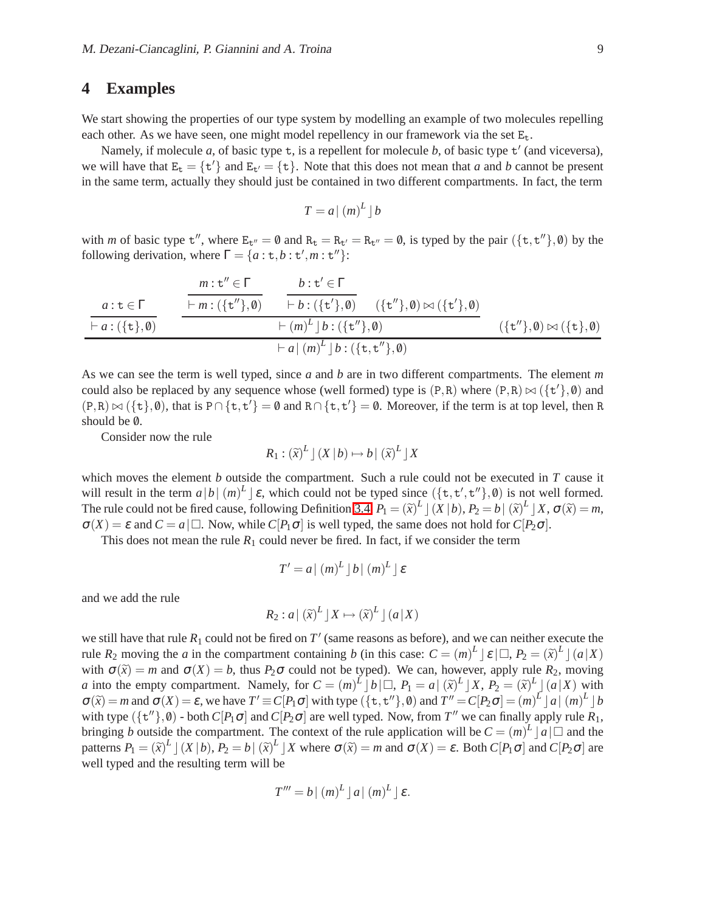#### **4 Examples**

We start showing the properties of our type system by modelling an example of two molecules repelling each other. As we have seen, one might model repellency in our framework via the set  $E_t$ .

Namely, if molecule *a*, of basic type **t**, is a repellent for molecule *b*, of basic type **t**' (and viceversa), we will have that  $E_t = \{t'\}$  and  $E_{t'} = \{t\}$ . Note that this does not mean that *a* and *b* cannot be present in the same term, actually they should just be contained in two different compartments. In fact, the term

$$
T = a \mid (m)^L \mid b
$$

with *m* of basic type  $t''$ , where  $E_{t''} = \emptyset$  and  $R_t = R_{t'} = R_{t''} = \emptyset$ , is typed by the pair  $(\{t, t''\}, \emptyset)$  by the following derivation, where  $\Gamma = \{a : \tau, b : \tau', m : \tau''\}$ :

$$
\frac{a:\mathbf{t}\in\Gamma}{\vdash a:(\{\mathbf{t}\},\mathbf{0})} \qquad \frac{m:\mathbf{t}''\in\Gamma}{\vdash m:(\{\mathbf{t}''\},\mathbf{0})} \qquad \frac{b:\mathbf{t}'\in\Gamma}{\vdash b:(\{\mathbf{t}'\},\mathbf{0})} \qquad (\{\mathbf{t}''\},\mathbf{0})\bowtie(\{\mathbf{t}'\},\mathbf{0})}{\vdash (m)^L \rfloor b:(\{\mathbf{t}''\},\mathbf{0})} \qquad (\{\mathbf{t}''\},\mathbf{0})\bowtie(\{\mathbf{t}\},\mathbf{0})
$$

As we can see the term is well typed, since *a* and *b* are in two different compartments. The element *m* could also be replaced by any sequence whose (well formed) type is  $(P, R)$  where  $(P, R) \bowtie (\{t'\}, \emptyset)$  and  $(P,R) \bowtie (\{t\}, \emptyset)$ , that is P∩ $\{t, t'\} = \emptyset$  and R∩ $\{t, t'\} = \emptyset$ . Moreover, if the term is at top level, then R should be  $\emptyset$ .

Consider now the rule

$$
R_1: (\widetilde{x})^L \, \rfloor \, (X \, | \, b) \mapsto b \, | \, (\widetilde{x})^L \, \rfloor \, X
$$

which moves the element *b* outside the compartment. Such a rule could not be executed in *T* cause it will result in the term  $a|b|(m)^L \leq \epsilon$ , which could not be typed since  $(\{\texttt{t}, \texttt{t}', \texttt{t}'\}, \emptyset)$  is not well formed. The rule could not be fired cause, following Definition [3.4,](#page-5-1)  $P_1 = (\tilde{x})^L \perp (X | b), P_2 = b \mid (\tilde{x})^L \perp X, \sigma(\tilde{x}) = m$ ,  $\sigma(X) = \varepsilon$  and  $C = a | \Box$ . Now, while  $C[P_1 \sigma]$  is well typed, the same does not hold for  $C[P_2 \sigma]$ .

This does not mean the rule  $R_1$  could never be fired. In fact, if we consider the term

$$
T' = a | (m)^L | b | (m)^L | \varepsilon
$$

and we add the rule

$$
R_2: a | (\widetilde{x})^L | X \mapsto (\widetilde{x})^L | (a | X)
$$

we still have that rule  $R_1$  could not be fired on  $T'$  (same reasons as before), and we can neither execute the rule  $R_2$  moving the *a* in the compartment containing *b* (in this case:  $C = (m)^L | \varepsilon | \square, P_2 = (\tilde{x})^L | (a | X)$ with  $\sigma(\tilde{x}) = m$  and  $\sigma(X) = b$ , thus  $P_2\sigma$  could not be typed). We can, however, apply rule  $R_2$ , moving *a* into the empty compartment. Namely, for  $C = (m)^L \left[ b \right] \square, P_1 = a \left[ (\tilde{x})^L \right] X, P_2 = (\tilde{x})^L \left[ (a \mid X) \right]$  with  $\sigma(\tilde{x}) = m$  and  $\sigma(X) = \varepsilon$ , we have  $T' \equiv C[P_1\sigma]$  with type  $(\{\tau, \tau''\}, \emptyset)$  and  $T'' = C[P_2\sigma] = (m)^L \lceil a \rceil (m)^L \lceil b \rceil$ with type  $(\{\mathbf{t}^{\prime\prime}\}, \emptyset)$  - both  $C[P_1\sigma]$  and  $C[P_2\sigma]$  are well typed. Now, from  $T''$  we can finally apply rule  $R_1$ , bringing *b* outside the compartment. The context of the rule application will be  $C = (m)^L |a| \Box$  and the patterns  $P_1 = (\tilde{x})^L \rvert (X \rvert b), P_2 = b \rvert (\tilde{x})^L \rvert X$  where  $\sigma(\tilde{x}) = m$  and  $\sigma(X) = \varepsilon$ . Both  $C[P_1 \sigma]$  and  $C[P_2 \sigma]$  are well typed and the resulting term will be

$$
T''' = b \mid (m)^L \mid a \mid (m)^L \mid \varepsilon.
$$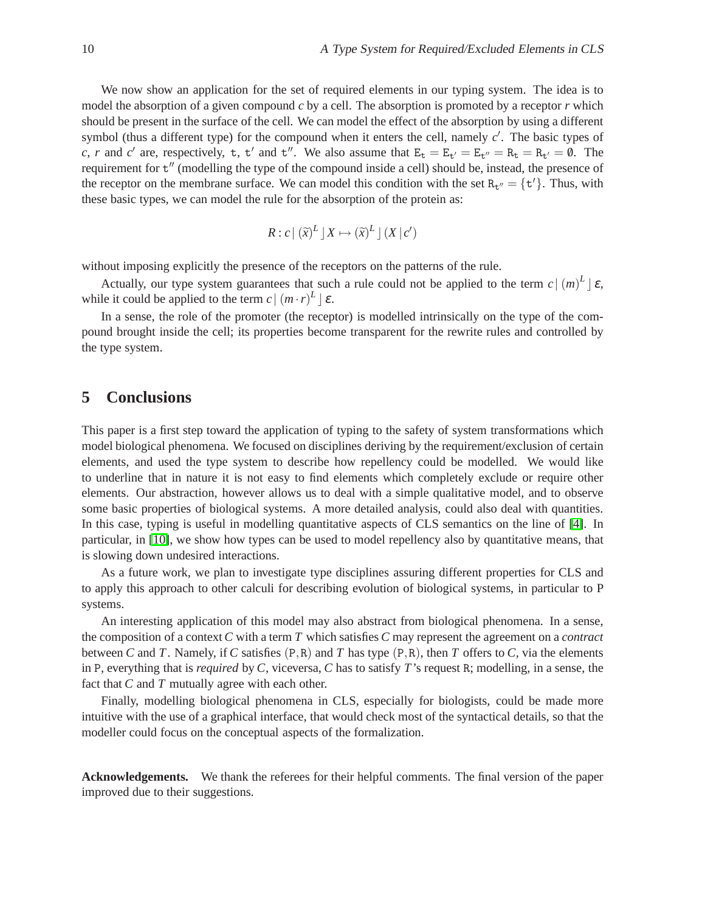We now show an application for the set of required elements in our typing system. The idea is to model the absorption of a given compound *c* by a cell. The absorption is promoted by a receptor *r* which should be present in the surface of the cell. We can model the effect of the absorption by using a different symbol (thus a different type) for the compound when it enters the cell, namely *c* ′ . The basic types of *c*, *r* and *c*<sup>'</sup> are, respectively, t, t' and t''. We also assume that  $E_t = E_{t'} = E_{t''} = R_t = R_{t'} = \emptyset$ . The requirement for  $t''$  (modelling the type of the compound inside a cell) should be, instead, the presence of the receptor on the membrane surface. We can model this condition with the set  $R_t = \{t'\}$ . Thus, with these basic types, we can model the rule for the absorption of the protein as:

$$
R: c \mid (\widetilde{x})^L \rfloor X \mapsto (\widetilde{x})^L \rfloor (X \mid c')
$$

without imposing explicitly the presence of the receptors on the patterns of the rule.

Actually, our type system guarantees that such a rule could not be applied to the term  $c \mid (m)^L \mid \varepsilon$ , while it could be applied to the term  $c \mid (m \cdot r)^L \mid \varepsilon$ .

In a sense, the role of the promoter (the receptor) is modelled intrinsically on the type of the compound brought inside the cell; its properties become transparent for the rewrite rules and controlled by the type system.

## **5 Conclusions**

This paper is a first step toward the application of typing to the safety of system transformations which model biological phenomena. We focused on disciplines deriving by the requirement/exclusion of certain elements, and used the type system to describe how repellency could be modelled. We would like to underline that in nature it is not easy to find elements which completely exclude or require other elements. Our abstraction, however allows us to deal with a simple qualitative model, and to observe some basic properties of biological systems. A more detailed analysis, could also deal with quantities. In this case, typing is useful in modelling quantitative aspects of CLS semantics on the line of [\[4\]](#page-10-16). In particular, in [\[10\]](#page-10-17), we show how types can be used to model repellency also by quantitative means, that is slowing down undesired interactions.

As a future work, we plan to investigate type disciplines assuring different properties for CLS and to apply this approach to other calculi for describing evolution of biological systems, in particular to P systems.

An interesting application of this model may also abstract from biological phenomena. In a sense, the composition of a context *C* with a term *T* which satisfies *C* may represent the agreement on a *contract* between *C* and *T*. Namely, if *C* satisfies  $(P, R)$  and *T* has type  $(P, R)$ , then *T* offers to *C*, via the elements in P, everything that is *required* by *C*, viceversa, *C* has to satisfy *T*'s request R; modelling, in a sense, the fact that *C* and *T* mutually agree with each other.

Finally, modelling biological phenomena in CLS, especially for biologists, could be made more intuitive with the use of a graphical interface, that would check most of the syntactical details, so that the modeller could focus on the conceptual aspects of the formalization.

**Acknowledgements.** We thank the referees for their helpful comments. The final version of the paper improved due to their suggestions.